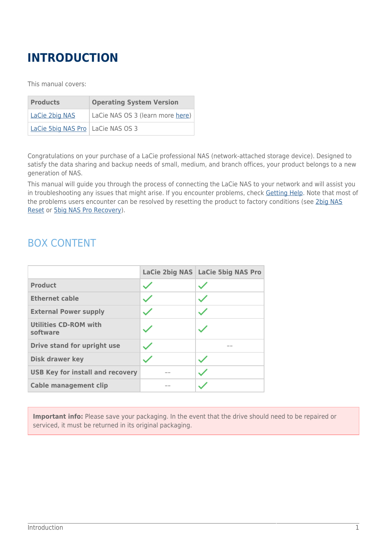## **INTRODUCTION**

This manual covers:

| <b>Products</b>                     | <b>Operating System Version</b>  |  |
|-------------------------------------|----------------------------------|--|
| <b>LaCie 2big NAS</b>               | LaCie NAS OS 3 (learn more here) |  |
| LaCie 5big NAS Pro   LaCie NAS OS 3 |                                  |  |

Congratulations on your purchase of a LaCie professional NAS (network-attached storage device). Designed to satisfy the data sharing and backup needs of small, medium, and branch offices, your product belongs to a new generation of NAS.

This manual will guide you through the process of connecting the LaCie NAS to your network and will assist you in troubleshooting any issues that might arise. If you encounter problems, check [Getting Help](http://manuals.lacie.com/en/manuals/2big-5big-nas/help/start). Note that most of the problems users encounter can be resolved by resetting the product to factory conditions (see [2big NAS](http://manuals.lacie.com/en/manuals/2big-5big-nas/help/reset) [Reset](http://manuals.lacie.com/en/manuals/2big-5big-nas/help/reset) or [5big NAS Pro Recovery\)](http://manuals.lacie.com/en/manuals/2big-5big-nas/help/recovery).

## BOX CONTENT

|                                          | LaCie 2big NAS LaCie 5big NAS Pro |
|------------------------------------------|-----------------------------------|
| <b>Product</b>                           |                                   |
| <b>Ethernet cable</b>                    |                                   |
| <b>External Power supply</b>             |                                   |
| <b>Utilities CD-ROM with</b><br>software |                                   |
| Drive stand for upright use              |                                   |
| <b>Disk drawer key</b>                   |                                   |
| <b>USB Key for install and recovery</b>  |                                   |
| <b>Cable management clip</b>             |                                   |

**Important info:** Please save your packaging. In the event that the drive should need to be repaired or serviced, it must be returned in its original packaging.